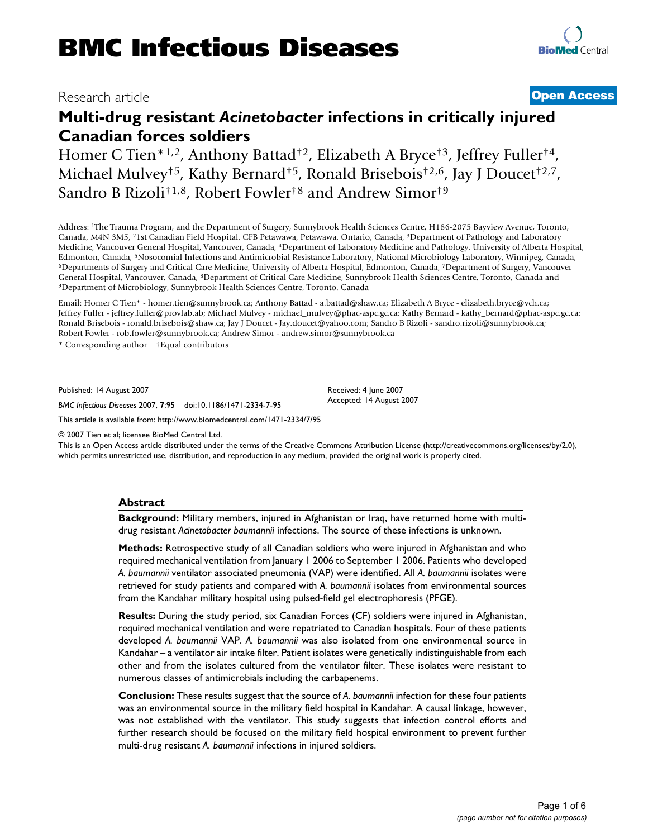**[BioMed](http://www.biomedcentral.com/)** Central

# Research article **[Open Access](http://www.biomedcentral.com/info/about/charter/)**

## **Multi-drug resistant** *Acinetobacter* **infections in critically injured Canadian forces soldiers**

Homer C Tien\*1,2, Anthony Battad<sup>†2</sup>, Elizabeth A Bryce<sup>†3</sup>, Jeffrey Fuller<sup>†4</sup>, Michael Mulvey<sup>†5</sup>, Kathy Bernard<sup>†5</sup>, Ronald Brisebois<sup>†2,6</sup>, Jay J Doucet<sup>†2,7</sup>, Sandro B Rizoli†1,8, Robert Fowler†8 and Andrew Simor†9

Address: 1The Trauma Program, and the Department of Surgery, Sunnybrook Health Sciences Centre, H186-2075 Bayview Avenue, Toronto, Canada, M4N 3M5, 21st Canadian Field Hospital, CFB Petawawa, Petawawa, Ontario, Canada, 3Department of Pathology and Laboratory Medicine, Vancouver General Hospital, Vancouver, Canada, 4Department of Laboratory Medicine and Pathology, University of Alberta Hospital, Edmonton, Canada, <sup>5</sup>Nosocomial Infections and Antimicrobial Resistance Laboratory, National Microbiology Laboratory, Winnipeg, Canada, <sup>5</sup>Nosocomial Infections and Antimicrobial Resistance Laboratory, The anada, <sup>5</sup>Depart General Hospital, Vancouver, Canada, <sup>8</sup>Department of Critical Care Medicine, Sunnybrook Health Sciences Centre, Toronto, Canada and 9Department of Microbiology, Sunnybrook Health Sciences Centre, Toronto, Canada

Email: Homer C Tien\* - homer.tien@sunnybrook.ca; Anthony Battad - a.battad@shaw.ca; Elizabeth A Bryce - elizabeth.bryce@vch.ca; Jeffrey Fuller - jeffrey.fuller@provlab.ab; Michael Mulvey - michael\_mulvey@phac-aspc.gc.ca; Kathy Bernard - kathy\_bernard@phac-aspc.gc.ca; Ronald Brisebois - ronald.brisebois@shaw.ca; Jay J Doucet - Jay.doucet@yahoo.com; Sandro B Rizoli - sandro.rizoli@sunnybrook.ca; Robert Fowler - rob.fowler@sunnybrook.ca; Andrew Simor - andrew.simor@sunnybrook.ca

\* Corresponding author †Equal contributors

Published: 14 August 2007

*BMC Infectious Diseases* 2007, **7**:95 doi:10.1186/1471-2334-7-95

[This article is available from: http://www.biomedcentral.com/1471-2334/7/95](http://www.biomedcentral.com/1471-2334/7/95)

© 2007 Tien et al; licensee BioMed Central Ltd.

This is an Open Access article distributed under the terms of the Creative Commons Attribution License [\(http://creativecommons.org/licenses/by/2.0\)](http://creativecommons.org/licenses/by/2.0), which permits unrestricted use, distribution, and reproduction in any medium, provided the original work is properly cited.

Received: 4 June 2007 Accepted: 14 August 2007

#### **Abstract**

**Background:** Military members, injured in Afghanistan or Iraq, have returned home with multidrug resistant *Acinetobacter baumannii* infections. The source of these infections is unknown.

**Methods:** Retrospective study of all Canadian soldiers who were injured in Afghanistan and who required mechanical ventilation from January 1 2006 to September 1 2006. Patients who developed *A. baumannii* ventilator associated pneumonia (VAP) were identified. All *A. baumannii* isolates were retrieved for study patients and compared with *A. baumannii* isolates from environmental sources from the Kandahar military hospital using pulsed-field gel electrophoresis (PFGE).

**Results:** During the study period, six Canadian Forces (CF) soldiers were injured in Afghanistan, required mechanical ventilation and were repatriated to Canadian hospitals. Four of these patients developed *A. baumannii* VAP. *A. baumannii* was also isolated from one environmental source in Kandahar – a ventilator air intake filter. Patient isolates were genetically indistinguishable from each other and from the isolates cultured from the ventilator filter. These isolates were resistant to numerous classes of antimicrobials including the carbapenems.

**Conclusion:** These results suggest that the source of *A. baumannii* infection for these four patients was an environmental source in the military field hospital in Kandahar. A causal linkage, however, was not established with the ventilator. This study suggests that infection control efforts and further research should be focused on the military field hospital environment to prevent further multi-drug resistant *A. baumannii* infections in injured soldiers.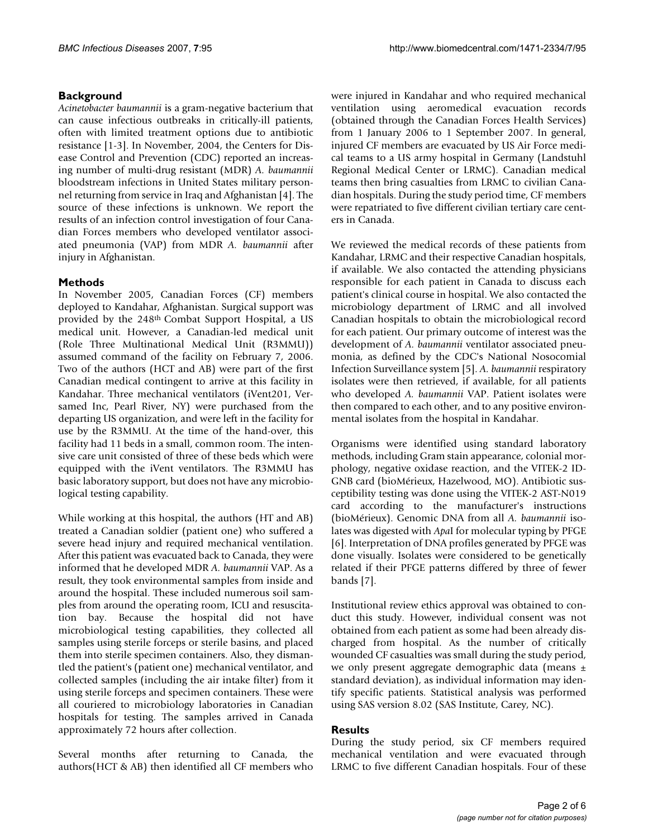#### **Background**

*Acinetobacter baumannii* is a gram-negative bacterium that can cause infectious outbreaks in critically-ill patients, often with limited treatment options due to antibiotic resistance [1-3]. In November, 2004, the Centers for Disease Control and Prevention (CDC) reported an increasing number of multi-drug resistant (MDR) *A. baumannii* bloodstream infections in United States military personnel returning from service in Iraq and Afghanistan [\[4\]](#page-5-0). The source of these infections is unknown. We report the results of an infection control investigation of four Canadian Forces members who developed ventilator associated pneumonia (VAP) from MDR *A. baumannii* after injury in Afghanistan.

## **Methods**

In November 2005, Canadian Forces (CF) members deployed to Kandahar, Afghanistan. Surgical support was provided by the 248th Combat Support Hospital, a US medical unit. However, a Canadian-led medical unit (Role Three Multinational Medical Unit (R3MMU)) assumed command of the facility on February 7, 2006. Two of the authors (HCT and AB) were part of the first Canadian medical contingent to arrive at this facility in Kandahar. Three mechanical ventilators (iVent201, Versamed Inc, Pearl River, NY) were purchased from the departing US organization, and were left in the facility for use by the R3MMU. At the time of the hand-over, this facility had 11 beds in a small, common room. The intensive care unit consisted of three of these beds which were equipped with the iVent ventilators. The R3MMU has basic laboratory support, but does not have any microbiological testing capability.

While working at this hospital, the authors (HT and AB) treated a Canadian soldier (patient one) who suffered a severe head injury and required mechanical ventilation. After this patient was evacuated back to Canada, they were informed that he developed MDR *A. baumannii* VAP. As a result, they took environmental samples from inside and around the hospital. These included numerous soil samples from around the operating room, ICU and resuscitation bay. Because the hospital did not have microbiological testing capabilities, they collected all samples using sterile forceps or sterile basins, and placed them into sterile specimen containers. Also, they dismantled the patient's (patient one) mechanical ventilator, and collected samples (including the air intake filter) from it using sterile forceps and specimen containers. These were all couriered to microbiology laboratories in Canadian hospitals for testing. The samples arrived in Canada approximately 72 hours after collection.

Several months after returning to Canada, the authors(HCT & AB) then identified all CF members who

were injured in Kandahar and who required mechanical ventilation using aeromedical evacuation records (obtained through the Canadian Forces Health Services) from 1 January 2006 to 1 September 2007. In general, injured CF members are evacuated by US Air Force medical teams to a US army hospital in Germany (Landstuhl Regional Medical Center or LRMC). Canadian medical teams then bring casualties from LRMC to civilian Canadian hospitals. During the study period time, CF members were repatriated to five different civilian tertiary care centers in Canada.

We reviewed the medical records of these patients from Kandahar, LRMC and their respective Canadian hospitals, if available. We also contacted the attending physicians responsible for each patient in Canada to discuss each patient's clinical course in hospital. We also contacted the microbiology department of LRMC and all involved Canadian hospitals to obtain the microbiological record for each patient. Our primary outcome of interest was the development of *A. baumannii* ventilator associated pneumonia, as defined by the CDC's National Nosocomial Infection Surveillance system [5]. *A. baumannii* respiratory isolates were then retrieved, if available, for all patients who developed *A. baumannii* VAP. Patient isolates were then compared to each other, and to any positive environmental isolates from the hospital in Kandahar.

Organisms were identified using standard laboratory methods, including Gram stain appearance, colonial morphology, negative oxidase reaction, and the VITEK-2 ID-GNB card (bioMérieux, Hazelwood, MO). Antibiotic susceptibility testing was done using the VITEK-2 AST-N019 card according to the manufacturer's instructions (bioMérieux). Genomic DNA from all *A. baumannii* isolates was digested with *Apa*I for molecular typing by PFGE [6]. Interpretation of DNA profiles generated by PFGE was done visually. Isolates were considered to be genetically related if their PFGE patterns differed by three of fewer bands [7].

Institutional review ethics approval was obtained to conduct this study. However, individual consent was not obtained from each patient as some had been already discharged from hospital. As the number of critically wounded CF casualties was small during the study period, we only present aggregate demographic data (means  $\pm$ standard deviation), as individual information may identify specific patients. Statistical analysis was performed using SAS version 8.02 (SAS Institute, Carey, NC).

#### **Results**

During the study period, six CF members required mechanical ventilation and were evacuated through LRMC to five different Canadian hospitals. Four of these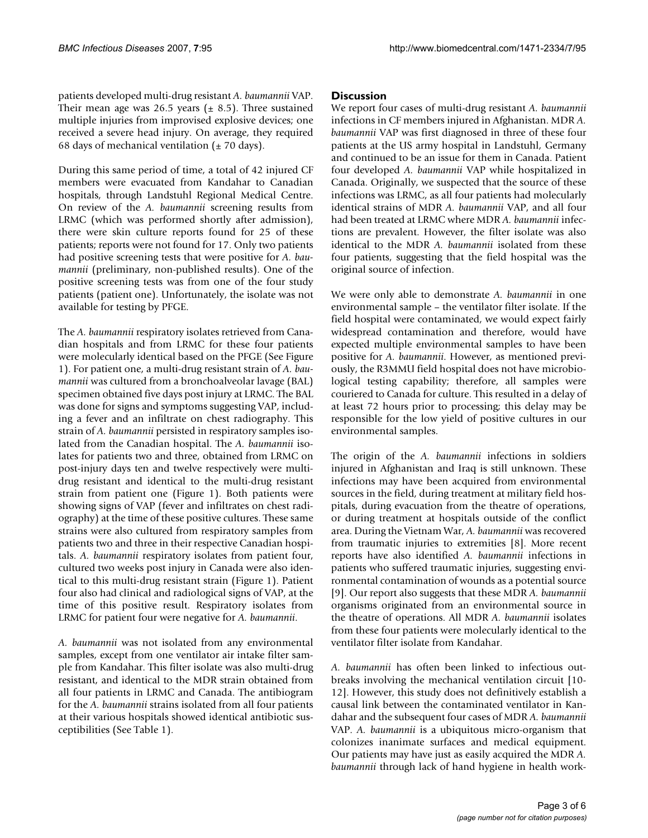patients developed multi-drug resistant *A. baumannii* VAP. Their mean age was 26.5 years ( $\pm$  8.5). Three sustained multiple injuries from improvised explosive devices; one received a severe head injury. On average, they required 68 days of mechanical ventilation  $(± 70 \text{ days})$ .

During this same period of time, a total of 42 injured CF members were evacuated from Kandahar to Canadian hospitals, through Landstuhl Regional Medical Centre. On review of the *A. baumannii* screening results from LRMC (which was performed shortly after admission), there were skin culture reports found for 25 of these patients; reports were not found for 17. Only two patients had positive screening tests that were positive for *A. baumannii* (preliminary, non-published results). One of the positive screening tests was from one of the four study patients (patient one). Unfortunately, the isolate was not available for testing by PFGE.

The *A. baumannii* respiratory isolates retrieved from Canadian hospitals and from LRMC for these four patients were molecularly identical based on the PFGE (See Figure 1). For patient one, a multi-drug resistant strain of *A. baumannii* was cultured from a bronchoalveolar lavage (BAL) specimen obtained five days post injury at LRMC. The BAL was done for signs and symptoms suggesting VAP, including a fever and an infiltrate on chest radiography. This strain of *A. baumannii* persisted in respiratory samples isolated from the Canadian hospital. The *A. baumannii* isolates for patients two and three, obtained from LRMC on post-injury days ten and twelve respectively were multidrug resistant and identical to the multi-drug resistant strain from patient one (Figure 1). Both patients were showing signs of VAP (fever and infiltrates on chest radiography) at the time of these positive cultures. These same strains were also cultured from respiratory samples from patients two and three in their respective Canadian hospitals. *A. baumannii* respiratory isolates from patient four, cultured two weeks post injury in Canada were also identical to this multi-drug resistant strain (Figure 1). Patient four also had clinical and radiological signs of VAP, at the time of this positive result. Respiratory isolates from LRMC for patient four were negative for *A. baumannii*.

*A. baumannii* was not isolated from any environmental samples, except from one ventilator air intake filter sample from Kandahar. This filter isolate was also multi-drug resistant, and identical to the MDR strain obtained from all four patients in LRMC and Canada. The antibiogram for the *A. baumannii* strains isolated from all four patients at their various hospitals showed identical antibiotic susceptibilities (See Table 1).

#### **Discussion**

We report four cases of multi-drug resistant *A. baumannii* infections in CF members injured in Afghanistan. MDR *A. baumannii* VAP was first diagnosed in three of these four patients at the US army hospital in Landstuhl, Germany and continued to be an issue for them in Canada. Patient four developed *A. baumannii* VAP while hospitalized in Canada. Originally, we suspected that the source of these infections was LRMC, as all four patients had molecularly identical strains of MDR *A. baumannii* VAP, and all four had been treated at LRMC where MDR *A. baumannii* infections are prevalent. However, the filter isolate was also identical to the MDR *A. baumannii* isolated from these four patients, suggesting that the field hospital was the original source of infection.

We were only able to demonstrate *A. baumannii* in one environmental sample – the ventilator filter isolate. If the field hospital were contaminated, we would expect fairly widespread contamination and therefore, would have expected multiple environmental samples to have been positive for *A. baumannii*. However, as mentioned previously, the R3MMU field hospital does not have microbiological testing capability; therefore, all samples were couriered to Canada for culture. This resulted in a delay of at least 72 hours prior to processing; this delay may be responsible for the low yield of positive cultures in our environmental samples.

The origin of the *A. baumannii* infections in soldiers injured in Afghanistan and Iraq is still unknown. These infections may have been acquired from environmental sources in the field, during treatment at military field hospitals, during evacuation from the theatre of operations, or during treatment at hospitals outside of the conflict area. During the Vietnam War, *A. baumannii* was recovered from traumatic injuries to extremities [8]. More recent reports have also identified *A. baumannii* infections in patients who suffered traumatic injuries, suggesting environmental contamination of wounds as a potential source [9]. Our report also suggests that these MDR *A. baumannii* organisms originated from an environmental source in the theatre of operations. All MDR *A. baumannii* isolates from these four patients were molecularly identical to the ventilator filter isolate from Kandahar.

*A. baumannii* has often been linked to infectious outbreaks involving the mechanical ventilation circuit [\[10-](#page-5-1) 12]. However, this study does not definitively establish a causal link between the contaminated ventilator in Kandahar and the subsequent four cases of MDR *A. baumannii* VAP. *A. baumannii* is a ubiquitous micro-organism that colonizes inanimate surfaces and medical equipment. Our patients may have just as easily acquired the MDR *A. baumannii* through lack of hand hygiene in health work-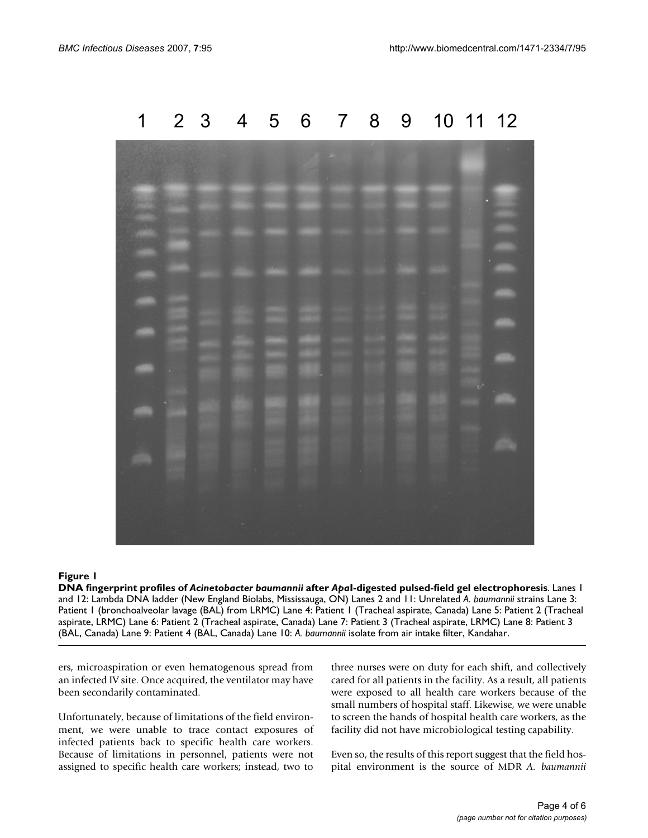

#### DNA fingerprint profiles of **Figure 1** *Acinetobacter baumannii* after *Apa*I-digested pulsed-field gel electrophoresis

**DNA fingerprint profiles of** *Acinetobacter baumannii* **after** *Apa***I-digested pulsed-field gel electrophoresis**. Lanes 1 and 12: Lambda DNA ladder (New England Biolabs, Mississauga, ON) Lanes 2 and 11: Unrelated *A. baumannii* strains Lane 3: Patient 1 (bronchoalveolar lavage (BAL) from LRMC) Lane 4: Patient 1 (Tracheal aspirate, Canada) Lane 5: Patient 2 (Tracheal aspirate, LRMC) Lane 6: Patient 2 (Tracheal aspirate, Canada) Lane 7: Patient 3 (Tracheal aspirate, LRMC) Lane 8: Patient 3 (BAL, Canada) Lane 9: Patient 4 (BAL, Canada) Lane 10: *A. baumannii* isolate from air intake filter, Kandahar.

ers, microaspiration or even hematogenous spread from an infected IV site. Once acquired, the ventilator may have been secondarily contaminated.

Unfortunately, because of limitations of the field environment, we were unable to trace contact exposures of infected patients back to specific health care workers. Because of limitations in personnel, patients were not assigned to specific health care workers; instead, two to three nurses were on duty for each shift, and collectively cared for all patients in the facility. As a result, all patients were exposed to all health care workers because of the small numbers of hospital staff. Likewise, we were unable to screen the hands of hospital health care workers, as the facility did not have microbiological testing capability.

Even so, the results of this report suggest that the field hospital environment is the source of MDR *A. baumannii*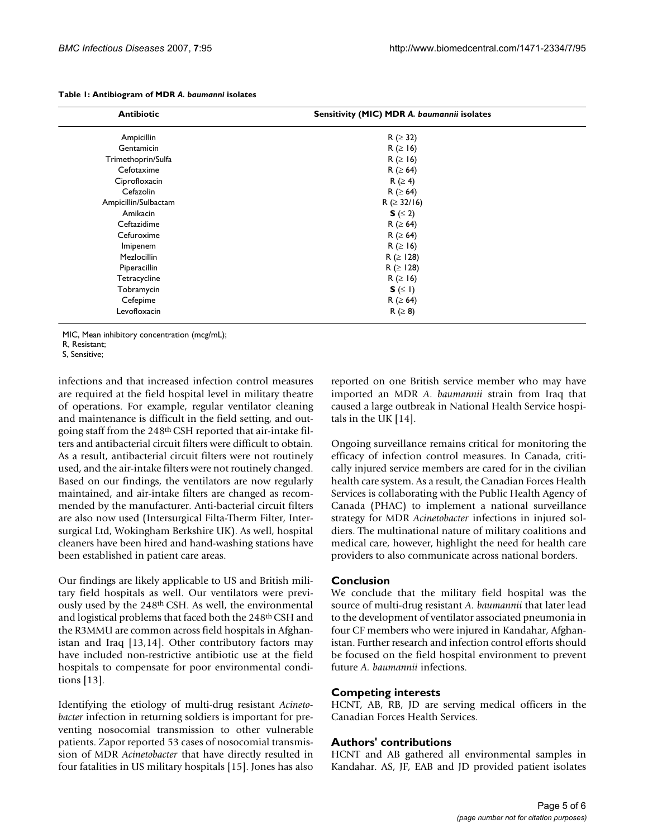| <b>Antibiotic</b>    | Sensitivity (MIC) MDR A. baumannii isolates |  |
|----------------------|---------------------------------------------|--|
| Ampicillin           | $R ( \ge 32)$                               |  |
| Gentamicin           | $R$ ( $\geq$ 16)                            |  |
| Trimethoprin/Sulfa   | $R$ ( $\geq$ 16)                            |  |
| Cefotaxime           | $R ( \ge 64)$                               |  |
| Ciprofloxacin        | $R \geq 4$                                  |  |
| Cefazolin            | $R ( \ge 64)$                               |  |
| Ampicillin/Sulbactam | $R$ ( $\geq$ 32/16)                         |  |
| Amikacin             | S ( $\leq$ 2)                               |  |
| Ceftazidime          | $R ( \ge 64)$                               |  |
| Cefuroxime           | $R ( \ge 64)$                               |  |
| Imipenem             | $R$ ( $\geq$ 16)                            |  |
| Mezlocillin          | $R$ ( $\geq$ 128)                           |  |
| Piperacillin         | $R$ ( $\geq$ 128)                           |  |
| Tetracycline         | $R$ ( $\geq$ 16)                            |  |
| Tobramycin           | S(S   S)                                    |  |
| Cefepime             | $R ( \ge 64)$                               |  |
| Levofloxacin         | $R \approx 8$                               |  |

**Table 1: Antibiogram of MDR** *A. baumanni* **isolates**

MIC, Mean inhibitory concentration (mcg/mL);

S, Sensitive;

infections and that increased infection control measures are required at the field hospital level in military theatre of operations. For example, regular ventilator cleaning and maintenance is difficult in the field setting, and outgoing staff from the 248th CSH reported that air-intake filters and antibacterial circuit filters were difficult to obtain. As a result, antibacterial circuit filters were not routinely used, and the air-intake filters were not routinely changed. Based on our findings, the ventilators are now regularly maintained, and air-intake filters are changed as recommended by the manufacturer. Anti-bacterial circuit filters are also now used (Intersurgical Filta-Therm Filter, Intersurgical Ltd, Wokingham Berkshire UK). As well, hospital cleaners have been hired and hand-washing stations have been established in patient care areas.

Our findings are likely applicable to US and British military field hospitals as well. Our ventilators were previously used by the 248th CSH. As well, the environmental and logistical problems that faced both the 248th CSH and the R3MMU are common across field hospitals in Afghanistan and Iraq [13,14]. Other contributory factors may have included non-restrictive antibiotic use at the field hospitals to compensate for poor environmental conditions [13].

Identifying the etiology of multi-drug resistant *Acinetobacter* infection in returning soldiers is important for preventing nosocomial transmission to other vulnerable patients. Zapor reported 53 cases of nosocomial transmission of MDR *Acinetobacter* that have directly resulted in four fatalities in US military hospitals [15]. Jones has also

reported on one British service member who may have imported an MDR *A*. *baumannii* strain from Iraq that caused a large outbreak in National Health Service hospitals in the UK [14].

Ongoing surveillance remains critical for monitoring the efficacy of infection control measures. In Canada, critically injured service members are cared for in the civilian health care system. As a result, the Canadian Forces Health Services is collaborating with the Public Health Agency of Canada (PHAC) to implement a national surveillance strategy for MDR *Acinetobacter* infections in injured soldiers. The multinational nature of military coalitions and medical care, however, highlight the need for health care providers to also communicate across national borders.

#### **Conclusion**

We conclude that the military field hospital was the source of multi-drug resistant *A. baumannii* that later lead to the development of ventilator associated pneumonia in four CF members who were injured in Kandahar, Afghanistan. Further research and infection control efforts should be focused on the field hospital environment to prevent future *A. baumannii* infections.

## **Competing interests**

HCNT, AB, RB, JD are serving medical officers in the Canadian Forces Health Services.

## **Authors' contributions**

HCNT and AB gathered all environmental samples in Kandahar. AS, JF, EAB and JD provided patient isolates

R, Resistant;